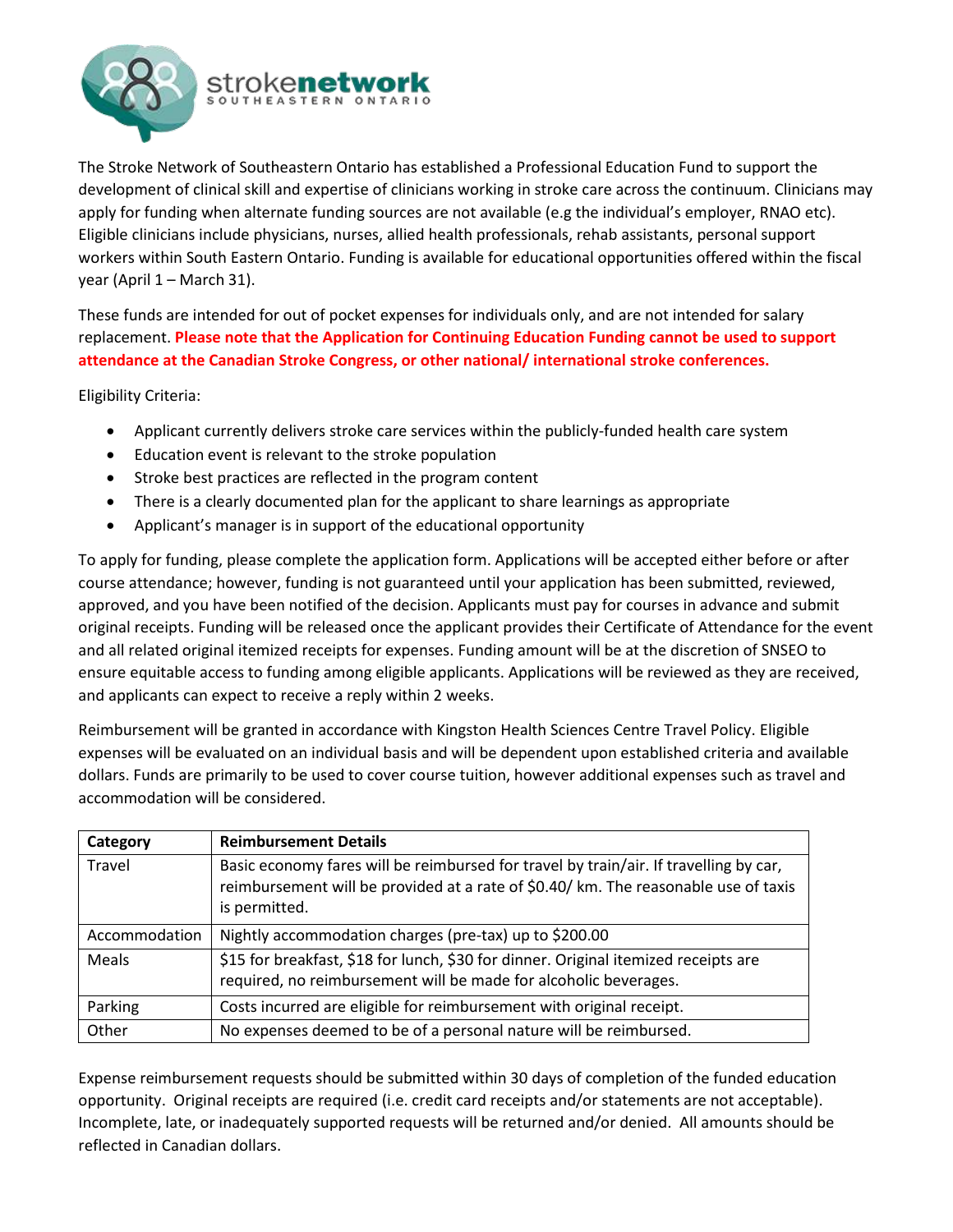

The Stroke Network of Southeastern Ontario has established a Professional Education Fund to support the development of clinical skill and expertise of clinicians working in stroke care across the continuum. Clinicians may apply for funding when alternate funding sources are not available (e.g the individual's employer, RNAO etc). Eligible clinicians include physicians, nurses, allied health professionals, rehab assistants, personal support workers within South Eastern Ontario. Funding is available for educational opportunities offered within the fiscal year (April 1 – March 31).

These funds are intended for out of pocket expenses for individuals only, and are not intended for salary replacement. **Please note that the Application for Continuing Education Funding cannot be used to support attendance at the Canadian Stroke Congress, or other national/ international stroke conferences.**

Eligibility Criteria:

- Applicant currently delivers stroke care services within the publicly-funded health care system
- Education event is relevant to the stroke population
- Stroke best practices are reflected in the program content
- There is a clearly documented plan for the applicant to share learnings as appropriate
- Applicant's manager is in support of the educational opportunity

To apply for funding, please complete the application form. Applications will be accepted either before or after course attendance; however, funding is not guaranteed until your application has been submitted, reviewed, approved, and you have been notified of the decision. Applicants must pay for courses in advance and submit original receipts. Funding will be released once the applicant provides their Certificate of Attendance for the event and all related original itemized receipts for expenses. Funding amount will be at the discretion of SNSEO to ensure equitable access to funding among eligible applicants. Applications will be reviewed as they are received, and applicants can expect to receive a reply within 2 weeks.

Reimbursement will be granted in accordance with Kingston Health Sciences Centre Travel Policy. Eligible expenses will be evaluated on an individual basis and will be dependent upon established criteria and available dollars. Funds are primarily to be used to cover course tuition, however additional expenses such as travel and accommodation will be considered.

| Category      | <b>Reimbursement Details</b>                                                                                                                                                                  |
|---------------|-----------------------------------------------------------------------------------------------------------------------------------------------------------------------------------------------|
| Travel        | Basic economy fares will be reimbursed for travel by train/air. If travelling by car,<br>reimbursement will be provided at a rate of \$0.40/ km. The reasonable use of taxis<br>is permitted. |
| Accommodation | Nightly accommodation charges (pre-tax) up to \$200.00                                                                                                                                        |
| Meals         | \$15 for breakfast, \$18 for lunch, \$30 for dinner. Original itemized receipts are<br>required, no reimbursement will be made for alcoholic beverages.                                       |
| Parking       | Costs incurred are eligible for reimbursement with original receipt.                                                                                                                          |
| Other         | No expenses deemed to be of a personal nature will be reimbursed.                                                                                                                             |

Expense reimbursement requests should be submitted within 30 days of completion of the funded education opportunity. Original receipts are required (i.e. credit card receipts and/or statements are not acceptable). Incomplete, late, or inadequately supported requests will be returned and/or denied. All amounts should be reflected in Canadian dollars.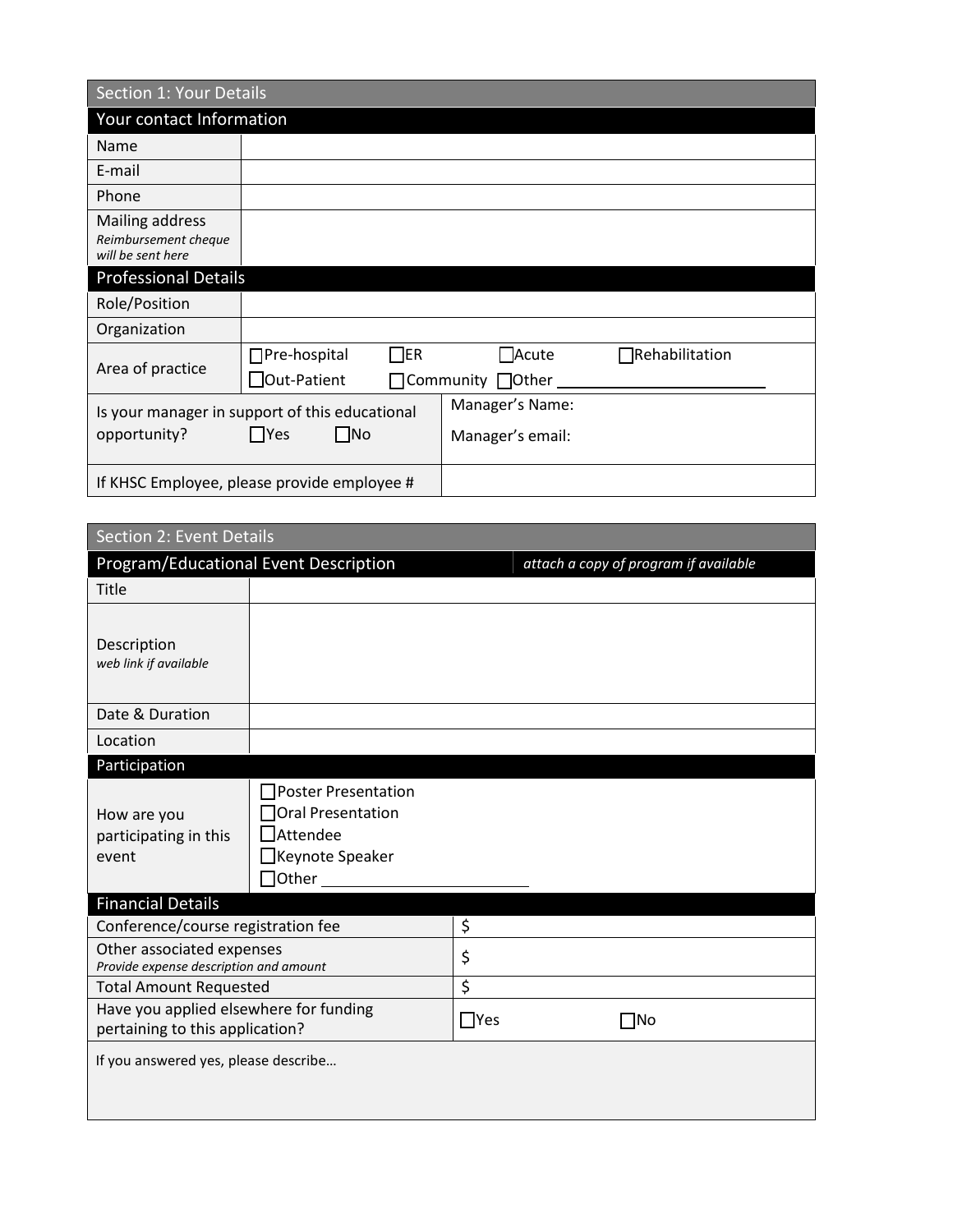| Section 1: Your Details                                                        |                                                        |                                     |                       |  |  |
|--------------------------------------------------------------------------------|--------------------------------------------------------|-------------------------------------|-----------------------|--|--|
| Your contact Information                                                       |                                                        |                                     |                       |  |  |
| Name                                                                           |                                                        |                                     |                       |  |  |
| E-mail                                                                         |                                                        |                                     |                       |  |  |
| Phone                                                                          |                                                        |                                     |                       |  |  |
| Mailing address<br>Reimbursement cheque<br>will be sent here                   |                                                        |                                     |                       |  |  |
| <b>Professional Details</b>                                                    |                                                        |                                     |                       |  |  |
| Role/Position                                                                  |                                                        |                                     |                       |  |  |
| Organization                                                                   |                                                        |                                     |                       |  |  |
| Area of practice                                                               | $\Box$ er<br>$\Box$ Pre-hospital<br>$\Box$ Out-Patient | $\Box$ Acute<br>Community □Other    | $\Box$ Rehabilitation |  |  |
| Is your manager in support of this educational<br>  Yes<br>lNo<br>opportunity? |                                                        | Manager's Name:<br>Manager's email: |                       |  |  |
| If KHSC Employee, please provide employee #                                    |                                                        |                                     |                       |  |  |

| Section 2: Event Details                                                  |                                                                                                     |            |                                       |  |  |  |
|---------------------------------------------------------------------------|-----------------------------------------------------------------------------------------------------|------------|---------------------------------------|--|--|--|
| Program/Educational Event Description                                     |                                                                                                     |            | attach a copy of program if available |  |  |  |
| Title                                                                     |                                                                                                     |            |                                       |  |  |  |
| Description<br>web link if available                                      |                                                                                                     |            |                                       |  |  |  |
| Date & Duration                                                           |                                                                                                     |            |                                       |  |  |  |
| Location                                                                  |                                                                                                     |            |                                       |  |  |  |
| Participation                                                             |                                                                                                     |            |                                       |  |  |  |
| How are you<br>participating in this<br>event                             | □Poster Presentation<br>Oral Presentation<br>$\square$ Attendee<br>□Keynote Speaker<br>$\Box$ Other |            |                                       |  |  |  |
| <b>Financial Details</b>                                                  |                                                                                                     |            |                                       |  |  |  |
| Conference/course registration fee                                        |                                                                                                     | \$         |                                       |  |  |  |
| Other associated expenses<br>Provide expense description and amount       |                                                                                                     | \$         |                                       |  |  |  |
| <b>Total Amount Requested</b>                                             |                                                                                                     | \$         |                                       |  |  |  |
| Have you applied elsewhere for funding<br>pertaining to this application? |                                                                                                     | $\Box$ Yes | $\Box$ No                             |  |  |  |
| If you answered yes, please describe                                      |                                                                                                     |            |                                       |  |  |  |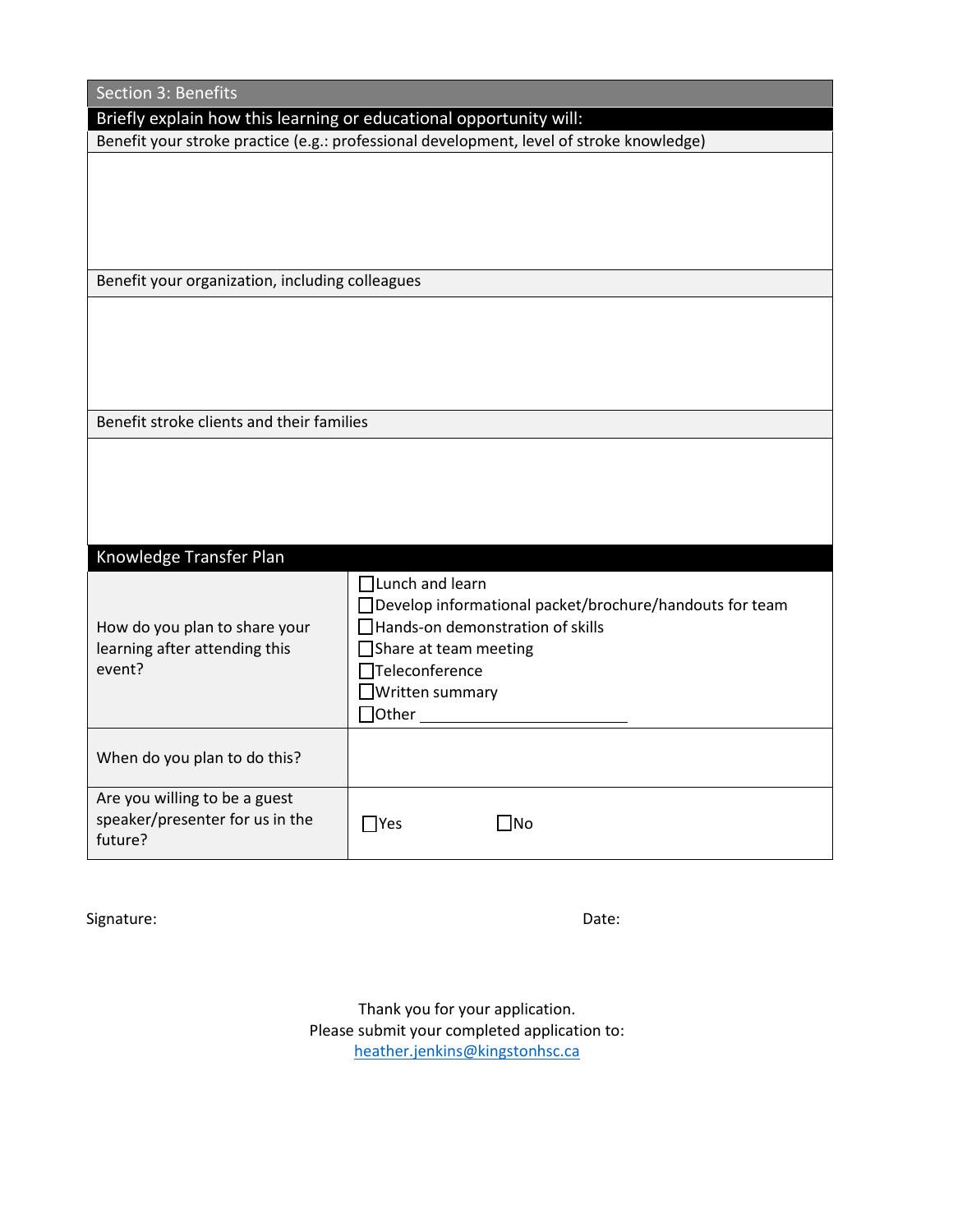| Section 3: Benefits                                                         |                                                                                                                                                                                                                                    |  |  |  |  |
|-----------------------------------------------------------------------------|------------------------------------------------------------------------------------------------------------------------------------------------------------------------------------------------------------------------------------|--|--|--|--|
| Briefly explain how this learning or educational opportunity will:          |                                                                                                                                                                                                                                    |  |  |  |  |
|                                                                             | Benefit your stroke practice (e.g.: professional development, level of stroke knowledge)                                                                                                                                           |  |  |  |  |
|                                                                             |                                                                                                                                                                                                                                    |  |  |  |  |
| Benefit your organization, including colleagues                             |                                                                                                                                                                                                                                    |  |  |  |  |
|                                                                             |                                                                                                                                                                                                                                    |  |  |  |  |
| Benefit stroke clients and their families                                   |                                                                                                                                                                                                                                    |  |  |  |  |
|                                                                             |                                                                                                                                                                                                                                    |  |  |  |  |
| Knowledge Transfer Plan                                                     |                                                                                                                                                                                                                                    |  |  |  |  |
| How do you plan to share your<br>learning after attending this<br>event?    | $\prod$ Lunch and learn<br>□ Develop informational packet/brochure/handouts for team<br>$\Box$ Hands-on demonstration of skills<br>$\Box$ Share at team meeting<br>Teleconference<br>$\Box$ Written summary<br>$\Box$ Other $\_\_$ |  |  |  |  |
| When do you plan to do this?                                                |                                                                                                                                                                                                                                    |  |  |  |  |
| Are you willing to be a guest<br>speaker/presenter for us in the<br>future? | $\Box$ No<br>$\Box$ Yes                                                                                                                                                                                                            |  |  |  |  |

Signature: Date: Date: Date: Date: Date: Date: Date: Date: Date: Date: Date: Date: Date: Date: Date: Date: Date: Date: Date: Date: Date: Date: Date: Date: Date: Date: Date: Date: Date: Date: Date: Date: Date: Date: Date: D

Thank you for your application. Please submit your completed application to: [heather.jenkins@kingstonhsc.ca](mailto:heather.jenkins@kingstonhsc.ca)